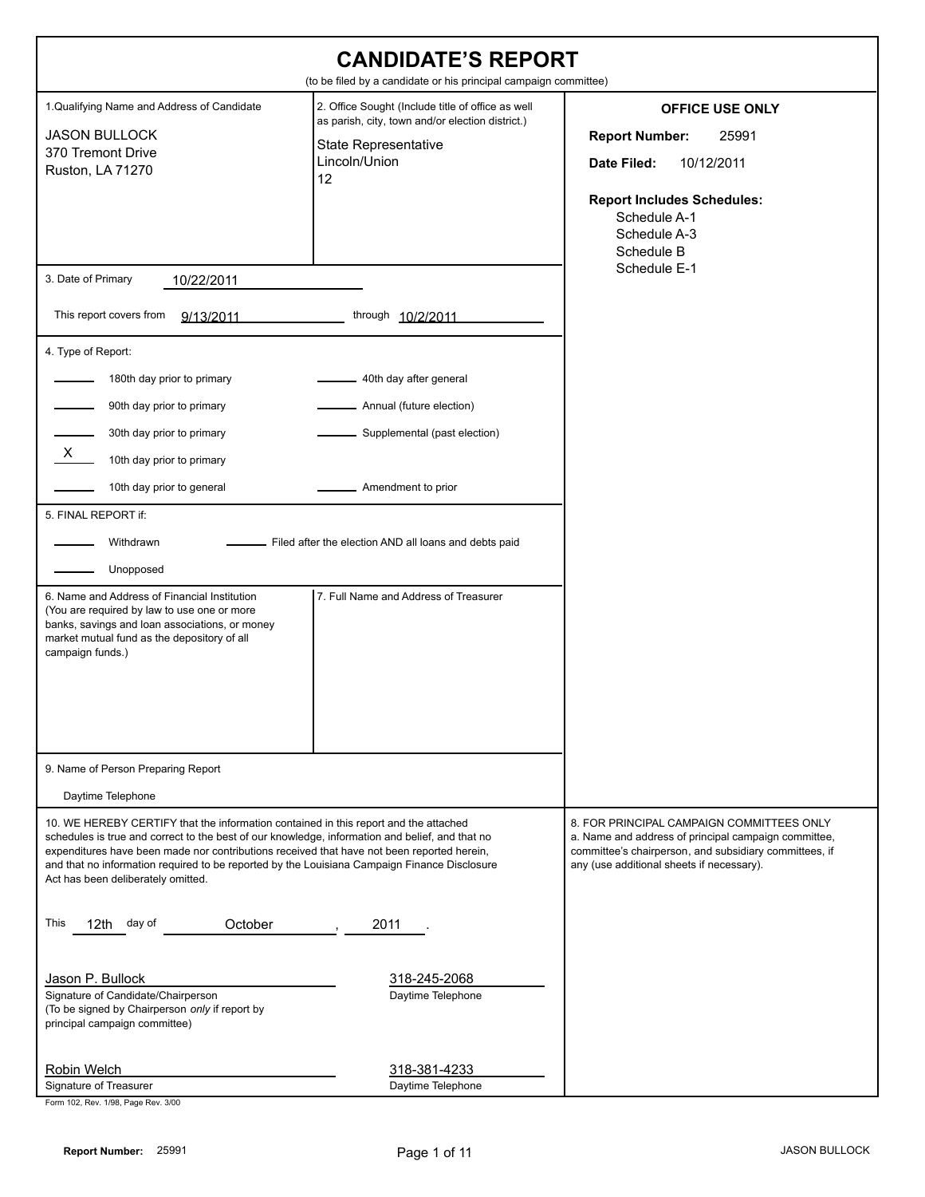| <b>CANDIDATE'S REPORT</b><br>(to be filed by a candidate or his principal campaign committee)                                                                                                                                                                                                                                                                                                                                                   |                                                                                                                                                                                                            |                                                                                                                                                                                                          |  |
|-------------------------------------------------------------------------------------------------------------------------------------------------------------------------------------------------------------------------------------------------------------------------------------------------------------------------------------------------------------------------------------------------------------------------------------------------|------------------------------------------------------------------------------------------------------------------------------------------------------------------------------------------------------------|----------------------------------------------------------------------------------------------------------------------------------------------------------------------------------------------------------|--|
| 1. Qualifying Name and Address of Candidate<br><b>JASON BULLOCK</b><br>370 Tremont Drive<br>Ruston, LA 71270                                                                                                                                                                                                                                                                                                                                    | 2. Office Sought (Include title of office as well<br>as parish, city, town and/or election district.)<br><b>State Representative</b><br>Lincoln/Union<br>12                                                | <b>OFFICE USE ONLY</b><br><b>Report Number:</b><br>25991<br>10/12/2011<br>Date Filed:<br><b>Report Includes Schedules:</b><br>Schedule A-1<br>Schedule A-3<br>Schedule B                                 |  |
| 3. Date of Primary<br>10/22/2011                                                                                                                                                                                                                                                                                                                                                                                                                |                                                                                                                                                                                                            | Schedule E-1                                                                                                                                                                                             |  |
| This report covers from<br>9/13/2011                                                                                                                                                                                                                                                                                                                                                                                                            | through 10/2/2011                                                                                                                                                                                          |                                                                                                                                                                                                          |  |
| 4. Type of Report:<br>180th day prior to primary<br>90th day prior to primary<br>30th day prior to primary<br>X,<br>10th day prior to primary<br>10th day prior to general<br>5. FINAL REPORT if:<br>Withdrawn<br>Unopposed<br>6. Name and Address of Financial Institution<br>(You are required by law to use one or more<br>banks, savings and loan associations, or money<br>market mutual fund as the depository of all<br>campaign funds.) | 40th day after general<br>Annual (future election)<br>Supplemental (past election)<br>Amendment to prior<br>Filed after the election AND all loans and debts paid<br>7. Full Name and Address of Treasurer |                                                                                                                                                                                                          |  |
| 9. Name of Person Preparing Report<br>Daytime Telephone                                                                                                                                                                                                                                                                                                                                                                                         |                                                                                                                                                                                                            |                                                                                                                                                                                                          |  |
| 10. WE HEREBY CERTIFY that the information contained in this report and the attached<br>schedules is true and correct to the best of our knowledge, information and belief, and that no<br>expenditures have been made nor contributions received that have not been reported herein,<br>and that no information required to be reported by the Louisiana Campaign Finance Disclosure<br>Act has been deliberately omitted.                     |                                                                                                                                                                                                            | 8. FOR PRINCIPAL CAMPAIGN COMMITTEES ONLY<br>a. Name and address of principal campaign committee,<br>committee's chairperson, and subsidiary committees, if<br>any (use additional sheets if necessary). |  |
| This<br>12th day of<br>October                                                                                                                                                                                                                                                                                                                                                                                                                  | 2011                                                                                                                                                                                                       |                                                                                                                                                                                                          |  |
| Jason P. Bullock<br>Signature of Candidate/Chairperson<br>(To be signed by Chairperson only if report by<br>principal campaign committee)                                                                                                                                                                                                                                                                                                       | 318-245-2068<br>Daytime Telephone                                                                                                                                                                          |                                                                                                                                                                                                          |  |
| Robin Welch<br>Signature of Treasurer<br>Form 102, Rev. 1/98, Page Rev. 3/00                                                                                                                                                                                                                                                                                                                                                                    | 318-381-4233<br>Daytime Telephone                                                                                                                                                                          |                                                                                                                                                                                                          |  |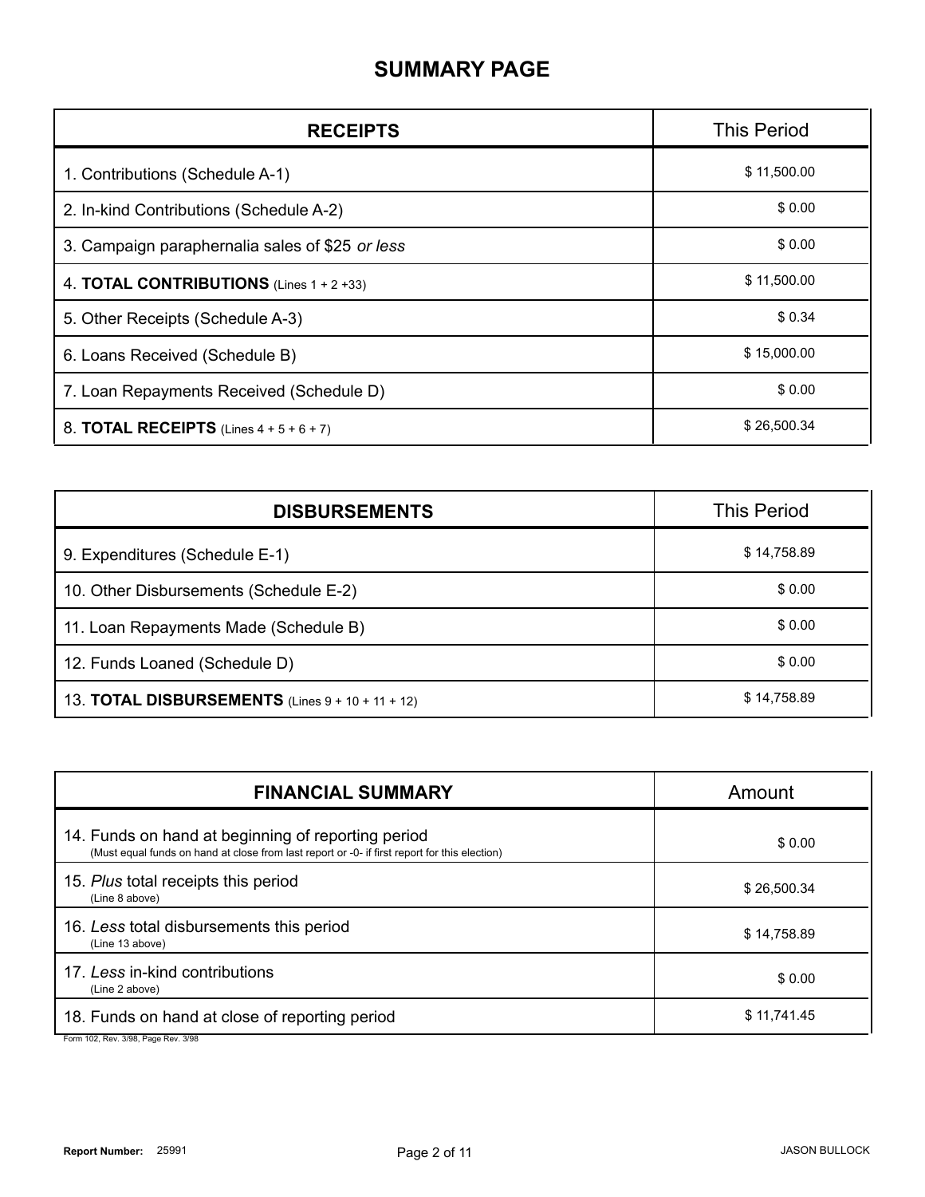#### **SUMMARY PAGE**

| <b>RECEIPTS</b>                                    | <b>This Period</b> |
|----------------------------------------------------|--------------------|
| 1. Contributions (Schedule A-1)                    | \$11,500.00        |
| 2. In-kind Contributions (Schedule A-2)            | \$0.00             |
| 3. Campaign paraphernalia sales of \$25 or less    | \$0.00             |
| 4. <b>TOTAL CONTRIBUTIONS</b> (Lines $1 + 2 +33$ ) | \$11,500.00        |
| 5. Other Receipts (Schedule A-3)                   | \$0.34             |
| 6. Loans Received (Schedule B)                     | \$15,000.00        |
| 7. Loan Repayments Received (Schedule D)           | \$0.00             |
| 8. <b>TOTAL RECEIPTS</b> (Lines $4 + 5 + 6 + 7$ )  | \$26,500.34        |

| <b>DISBURSEMENTS</b>                                    | <b>This Period</b> |  |
|---------------------------------------------------------|--------------------|--|
| 9. Expenditures (Schedule E-1)                          | \$14,758.89        |  |
| 10. Other Disbursements (Schedule E-2)                  | \$0.00             |  |
| 11. Loan Repayments Made (Schedule B)                   | \$0.00             |  |
| 12. Funds Loaned (Schedule D)                           | \$0.00             |  |
| 13. <b>TOTAL DISBURSEMENTS</b> (Lines 9 + 10 + 11 + 12) | \$14,758.89        |  |

| <b>FINANCIAL SUMMARY</b>                                                                                                                            | Amount      |
|-----------------------------------------------------------------------------------------------------------------------------------------------------|-------------|
| 14. Funds on hand at beginning of reporting period<br>(Must equal funds on hand at close from last report or -0- if first report for this election) | \$0.00      |
| 15. Plus total receipts this period<br>(Line 8 above)                                                                                               | \$26,500.34 |
| 16. Less total disbursements this period<br>(Line 13 above)                                                                                         | \$14,758.89 |
| 17. Less in-kind contributions<br>(Line 2 above)                                                                                                    | \$0.00      |
| 18. Funds on hand at close of reporting period                                                                                                      | \$11,741.45 |

Form 102, Rev. 3/98, Page Rev. 3/98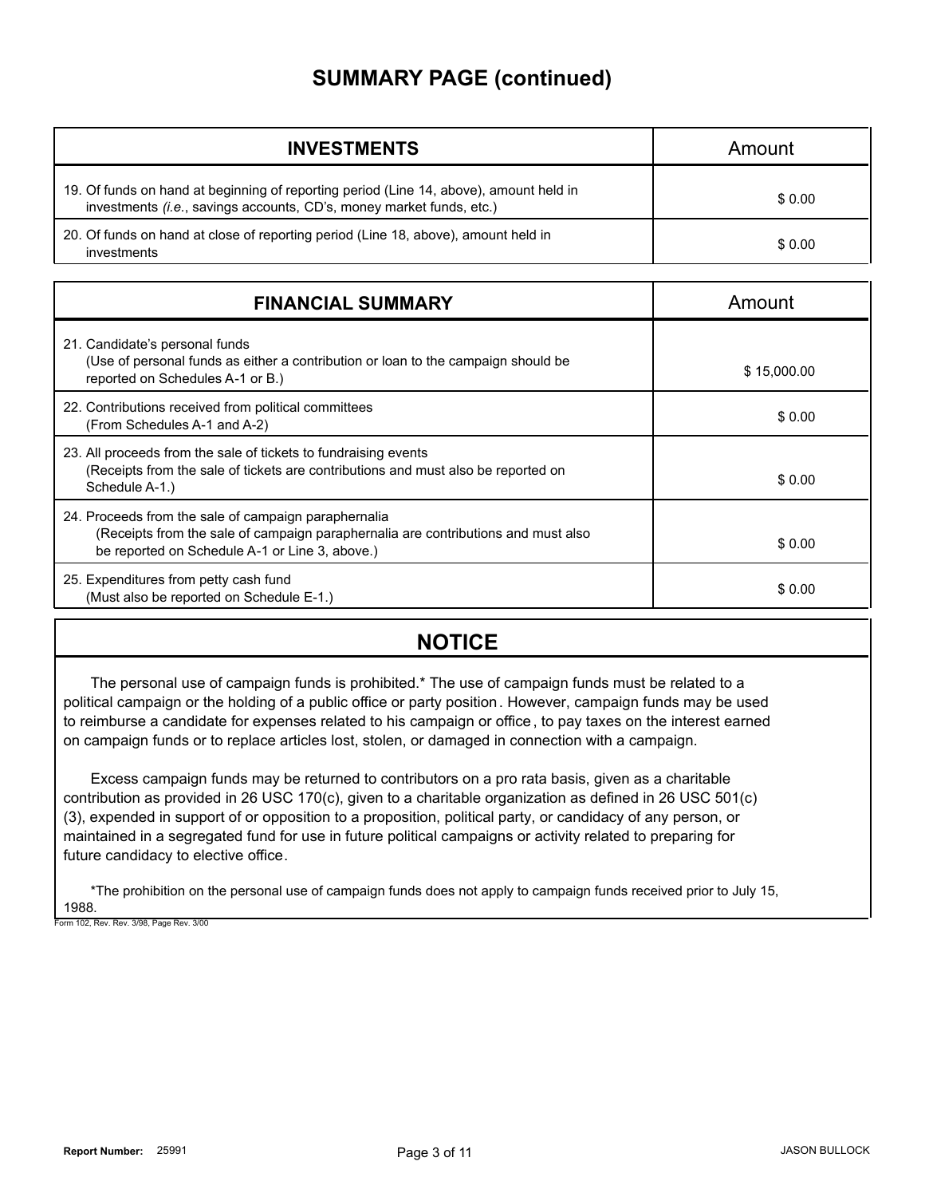#### **SUMMARY PAGE (continued)**

| <b>INVESTMENTS</b>                                                                                                                                             | Amount |
|----------------------------------------------------------------------------------------------------------------------------------------------------------------|--------|
| 19. Of funds on hand at beginning of reporting period (Line 14, above), amount held in<br>investments (i.e., savings accounts, CD's, money market funds, etc.) | \$0.00 |
| 20. Of funds on hand at close of reporting period (Line 18, above), amount held in<br>investments                                                              | \$0.00 |

| <b>FINANCIAL SUMMARY</b>                                                                                                                                                                    | Amount      |
|---------------------------------------------------------------------------------------------------------------------------------------------------------------------------------------------|-------------|
| 21. Candidate's personal funds<br>(Use of personal funds as either a contribution or loan to the campaign should be<br>reported on Schedules A-1 or B.)                                     | \$15,000.00 |
| 22. Contributions received from political committees<br>(From Schedules A-1 and A-2)                                                                                                        | \$0.00      |
| 23. All proceeds from the sale of tickets to fundraising events<br>(Receipts from the sale of tickets are contributions and must also be reported on<br>Schedule A-1.)                      | \$0.00      |
| 24. Proceeds from the sale of campaign paraphernalia<br>(Receipts from the sale of campaign paraphernalia are contributions and must also<br>be reported on Schedule A-1 or Line 3, above.) | \$0.00      |
| 25. Expenditures from petty cash fund<br>(Must also be reported on Schedule E-1.)                                                                                                           | \$0.00      |

#### **NOTICE**

The personal use of campaign funds is prohibited.\* The use of campaign funds must be related to a political campaign or the holding of a public office or party position. However, campaign funds may be used to reimburse a candidate for expenses related to his campaign or office, to pay taxes on the interest earned on campaign funds or to replace articles lost, stolen, or damaged in connection with a campaign.

Excess campaign funds may be returned to contributors on a pro rata basis, given as a charitable contribution as provided in 26 USC 170(c), given to a charitable organization as defined in 26 USC 501(c) (3), expended in support of or opposition to a proposition, political party, or candidacy of any person, or maintained in a segregated fund for use in future political campaigns or activity related to preparing for future candidacy to elective office.

\*The prohibition on the personal use of campaign funds does not apply to campaign funds received prior to July 15, 1988. Form 102, Rev. Rev. 3/98, Page Rev. 3/00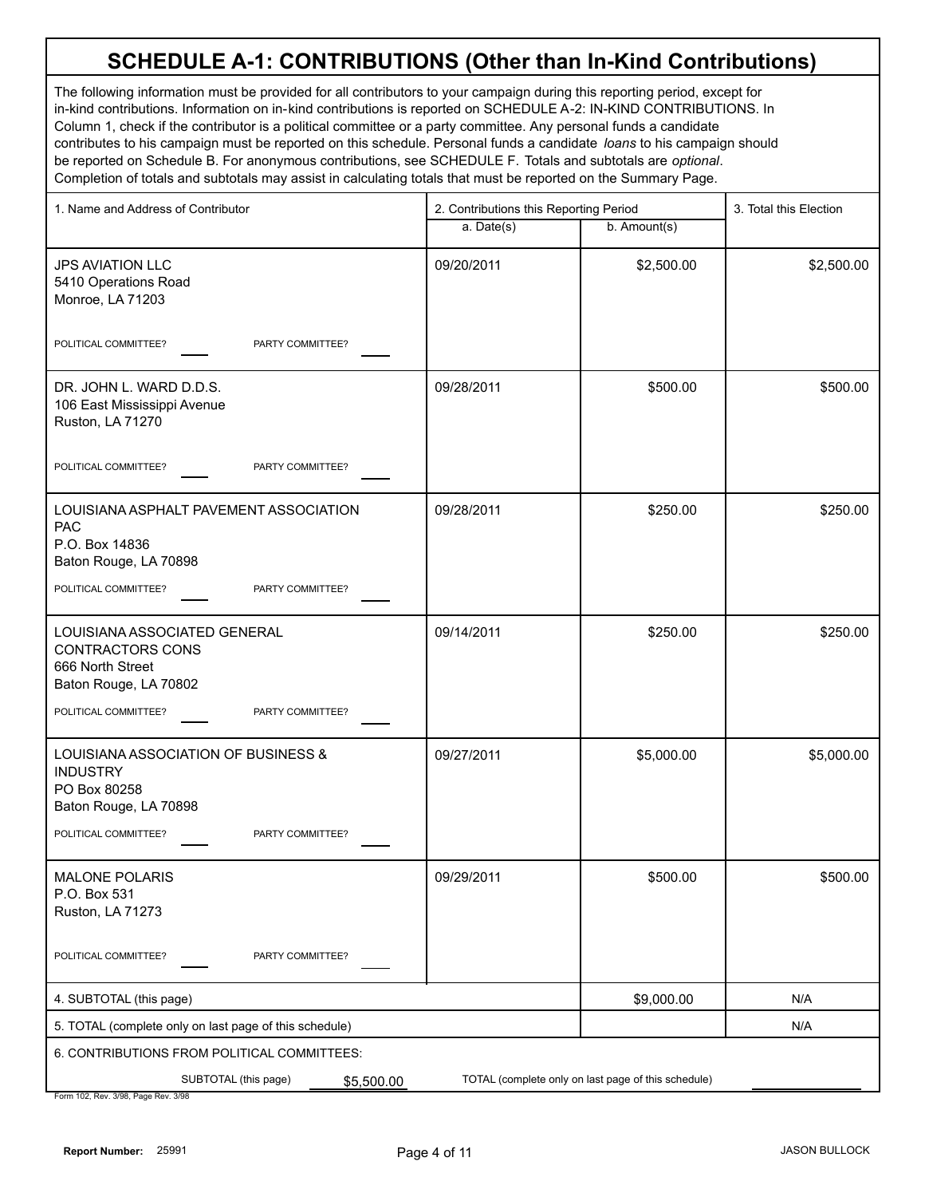# **SCHEDULE A-1: CONTRIBUTIONS (Other than In-Kind Contributions)**

The following information must be provided for all contributors to your campaign during this reporting period, except for in-kind contributions. Information on in-kind contributions is reported on SCHEDULE A-2: IN-KIND CONTRIBUTIONS. In Column 1, check if the contributor is a political committee or a party committee. Any personal funds a candidate contributes to his campaign must be reported on this schedule. Personal funds a candidate *loans* to his campaign should be reported on Schedule B. For anonymous contributions, see SCHEDULE F. Totals and subtotals are *optional*. Completion of totals and subtotals may assist in calculating totals that must be reported on the Summary Page.

| 1. Name and Address of Contributor                                                                                                               | 2. Contributions this Reporting Period |                                                     | 3. Total this Election |
|--------------------------------------------------------------------------------------------------------------------------------------------------|----------------------------------------|-----------------------------------------------------|------------------------|
|                                                                                                                                                  | a. Date(s)                             | b. Amount(s)                                        |                        |
| <b>JPS AVIATION LLC</b><br>5410 Operations Road<br>Monroe, LA 71203                                                                              | 09/20/2011                             | \$2,500.00                                          | \$2,500.00             |
| PARTY COMMITTEE?<br>POLITICAL COMMITTEE?                                                                                                         |                                        |                                                     |                        |
| DR. JOHN L. WARD D.D.S.<br>106 East Mississippi Avenue<br>Ruston, LA 71270                                                                       | 09/28/2011                             | \$500.00                                            | \$500.00               |
| POLITICAL COMMITTEE?<br>PARTY COMMITTEE?                                                                                                         |                                        |                                                     |                        |
| LOUISIANA ASPHALT PAVEMENT ASSOCIATION<br><b>PAC</b><br>P.O. Box 14836<br>Baton Rouge, LA 70898<br>POLITICAL COMMITTEE?<br>PARTY COMMITTEE?      | 09/28/2011                             | \$250.00                                            | \$250.00               |
| LOUISIANA ASSOCIATED GENERAL<br><b>CONTRACTORS CONS</b><br>666 North Street<br>Baton Rouge, LA 70802<br>POLITICAL COMMITTEE?<br>PARTY COMMITTEE? | 09/14/2011                             | \$250.00                                            | \$250.00               |
| LOUISIANA ASSOCIATION OF BUSINESS &<br><b>INDUSTRY</b><br>PO Box 80258<br>Baton Rouge, LA 70898<br>POLITICAL COMMITTEE?<br>PARTY COMMITTEE?      | 09/27/2011                             | \$5,000.00                                          | \$5,000.00             |
| MALONE POLARIS<br>P.O. Box 531<br>Ruston, LA 71273                                                                                               | 09/29/2011                             | \$500.00                                            | \$500.00               |
| PARTY COMMITTEE?<br>POLITICAL COMMITTEE?                                                                                                         |                                        |                                                     |                        |
| 4. SUBTOTAL (this page)                                                                                                                          |                                        | \$9,000.00                                          | N/A                    |
| 5. TOTAL (complete only on last page of this schedule)                                                                                           |                                        |                                                     | N/A                    |
| 6. CONTRIBUTIONS FROM POLITICAL COMMITTEES:                                                                                                      |                                        |                                                     |                        |
| SUBTOTAL (this page)<br>\$5,500.00                                                                                                               |                                        | TOTAL (complete only on last page of this schedule) |                        |

Form 102, Rev. 3/98, Page Rev. 3/98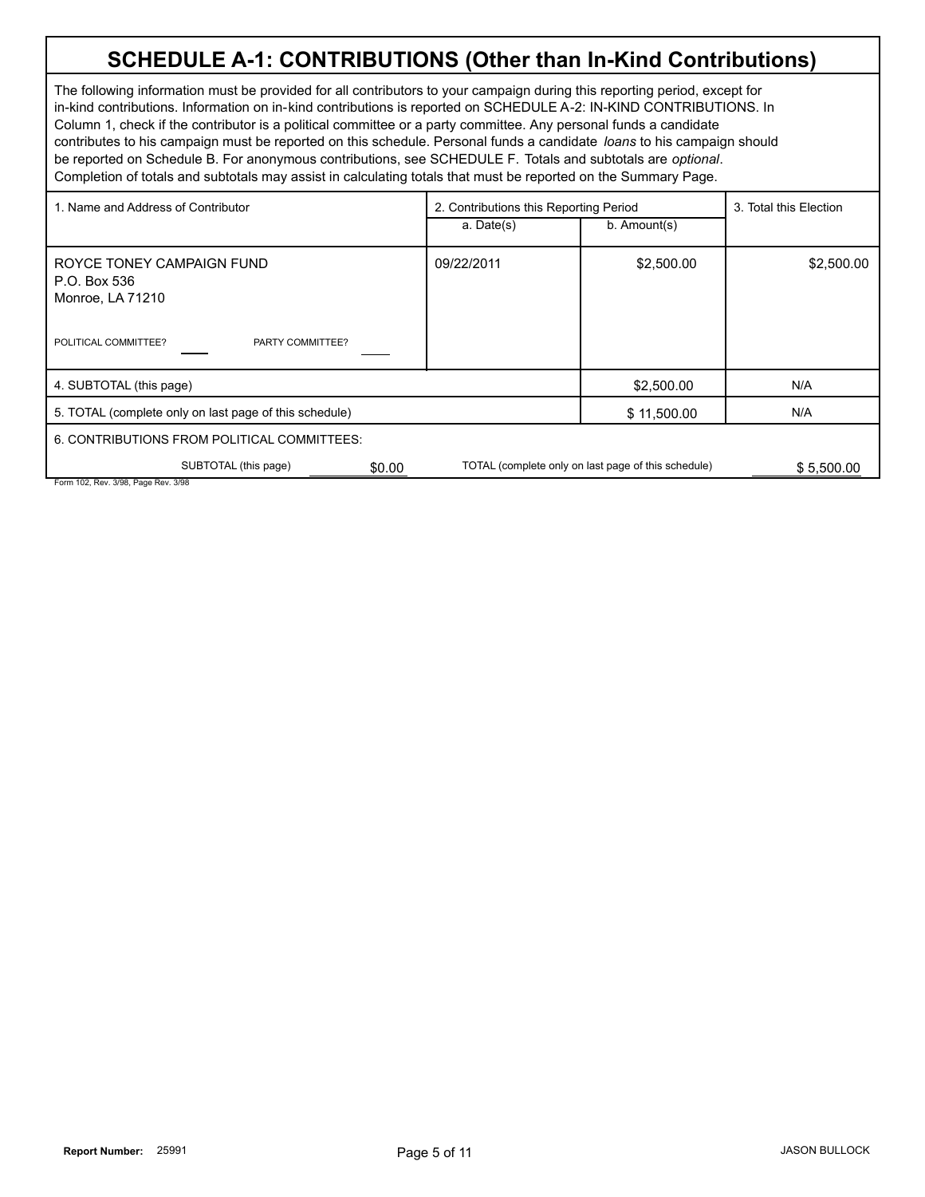# **SCHEDULE A-1: CONTRIBUTIONS (Other than In-Kind Contributions)**

The following information must be provided for all contributors to your campaign during this reporting period, except for in-kind contributions. Information on in-kind contributions is reported on SCHEDULE A-2: IN-KIND CONTRIBUTIONS. In Column 1, check if the contributor is a political committee or a party committee. Any personal funds a candidate contributes to his campaign must be reported on this schedule. Personal funds a candidate *loans* to his campaign should be reported on Schedule B. For anonymous contributions, see SCHEDULE F. Totals and subtotals are *optional*. Completion of totals and subtotals may assist in calculating totals that must be reported on the Summary Page.

| 1. Name and Address of Contributor                                                                        | 2. Contributions this Reporting Period |                                                     | 3. Total this Election |
|-----------------------------------------------------------------------------------------------------------|----------------------------------------|-----------------------------------------------------|------------------------|
|                                                                                                           | a. Date(s)                             | b. Amount(s)                                        |                        |
| ROYCE TONEY CAMPAIGN FUND<br>P.O. Box 536<br>Monroe, LA 71210<br>POLITICAL COMMITTEE?<br>PARTY COMMITTEE? | 09/22/2011                             | \$2,500.00                                          | \$2,500.00             |
| 4. SUBTOTAL (this page)                                                                                   |                                        | \$2,500.00                                          | N/A                    |
| 5. TOTAL (complete only on last page of this schedule)                                                    |                                        | \$11,500.00                                         | N/A                    |
| 6. CONTRIBUTIONS FROM POLITICAL COMMITTEES:                                                               |                                        |                                                     |                        |
| SUBTOTAL (this page)<br>\$0.00<br>Form 102, Rev. 3/98, Page Rev. 3/98                                     |                                        | TOTAL (complete only on last page of this schedule) | \$5,500.00             |
|                                                                                                           |                                        |                                                     |                        |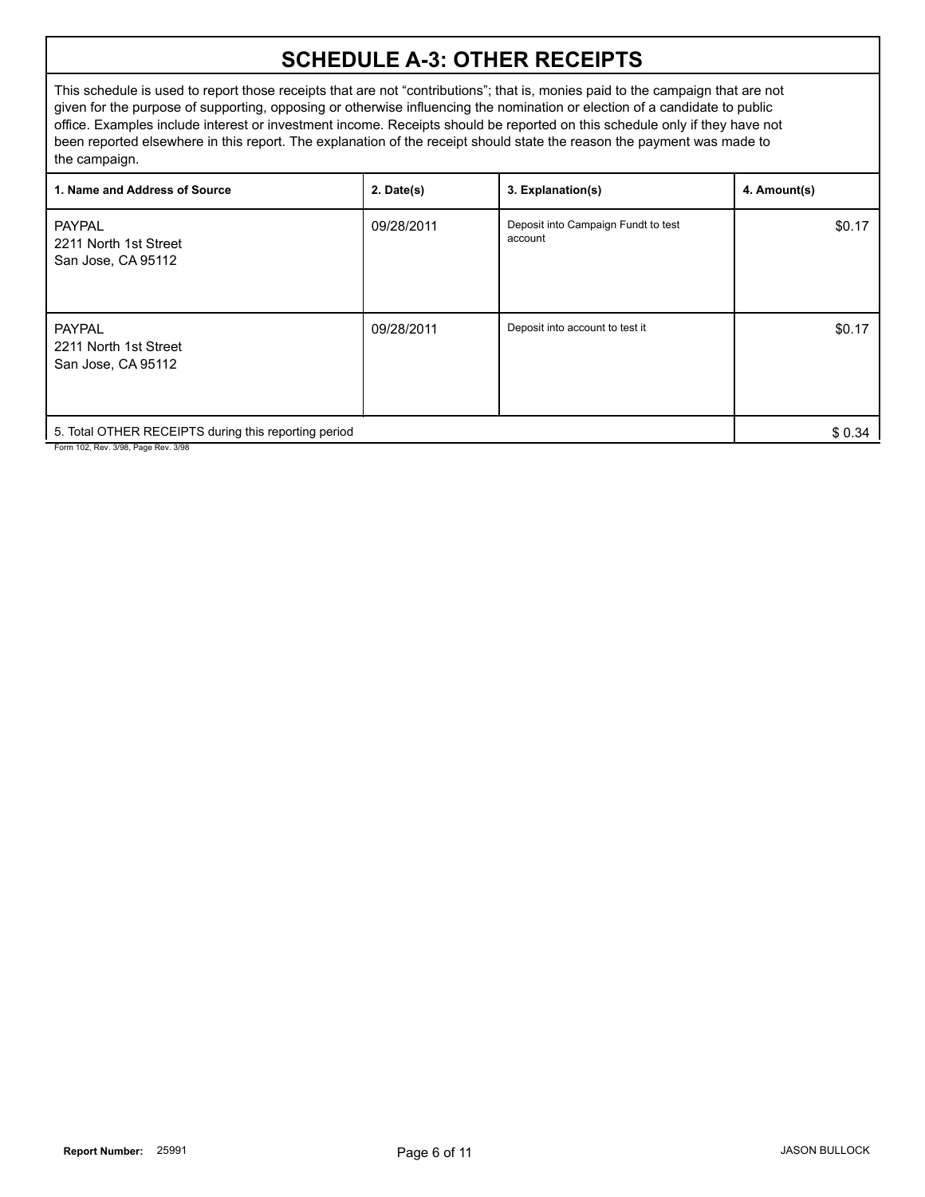### **SCHEDULE A-3: OTHER RECEIPTS**

This schedule is used to report those receipts that are not "contributions"; that is, monies paid to the campaign that are not given for the purpose of supporting, opposing or otherwise influencing the nomination or election of a candidate to public office. Examples include interest or investment income. Receipts should be reported on this schedule only if they have not been reported elsewhere in this report. The explanation of the receipt should state the reason the payment was made to the campaign.

| 1. Name and Address of Source                                | $2.$ Date(s) | 3. Explanation(s)                              | 4. Amount(s) |
|--------------------------------------------------------------|--------------|------------------------------------------------|--------------|
| <b>PAYPAL</b><br>2211 North 1st Street<br>San Jose, CA 95112 | 09/28/2011   | Deposit into Campaign Fundt to test<br>account | \$0.17       |
| <b>PAYPAL</b><br>2211 North 1st Street<br>San Jose, CA 95112 | 09/28/2011   | Deposit into account to test it                | \$0.17       |
| 5. Total OTHER RECEIPTS during this reporting period         |              |                                                | \$0.34       |

Form 102, Rev. 3/98, Page Rev. 3/98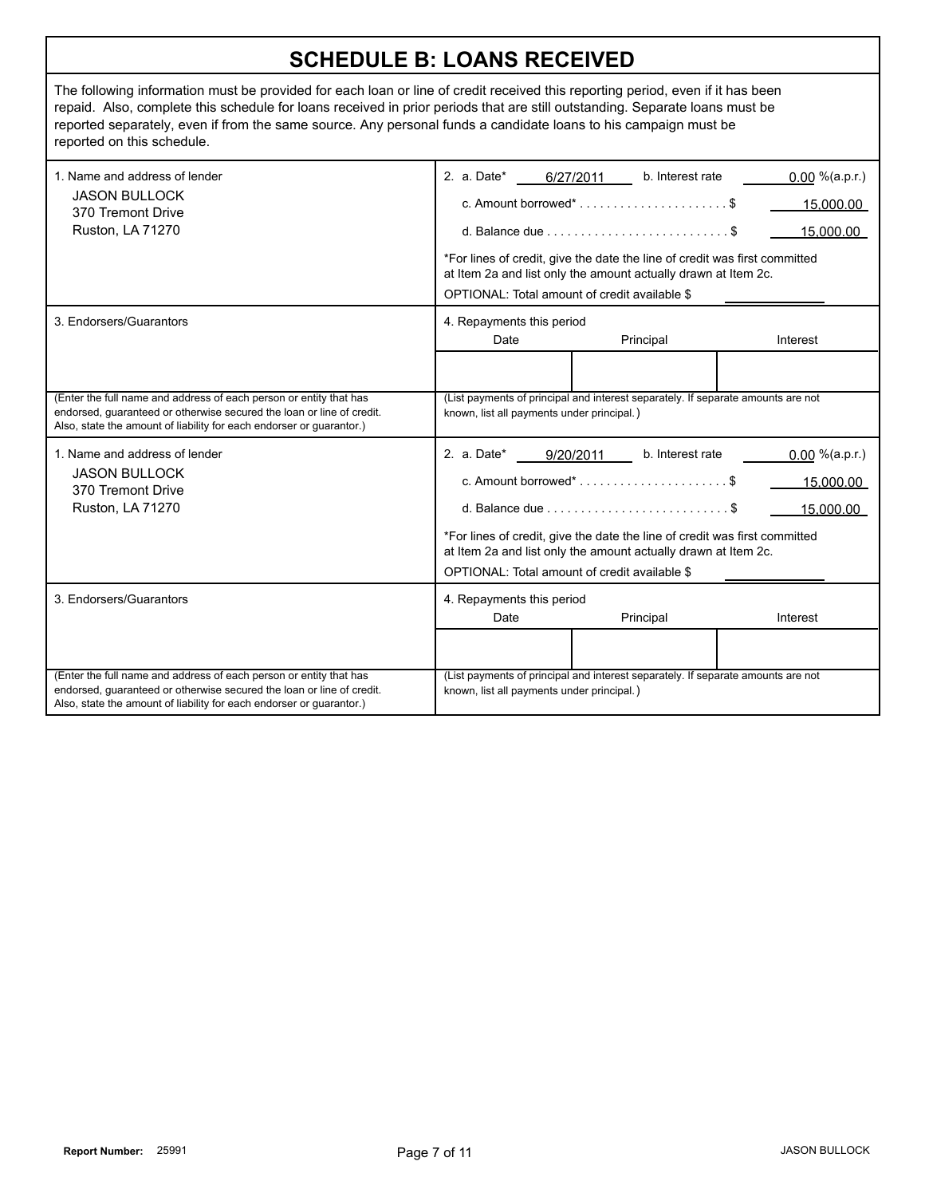| <b>SCHEDULE B: LOANS RECEIVED</b>                                                                                                                                                                                                                                                                                                                                                                              |                                                                                                                                                                                                                                                                                                                                                                                                                                          |                                                                                                                                                                                                                                                                                                                       |                                              |
|----------------------------------------------------------------------------------------------------------------------------------------------------------------------------------------------------------------------------------------------------------------------------------------------------------------------------------------------------------------------------------------------------------------|------------------------------------------------------------------------------------------------------------------------------------------------------------------------------------------------------------------------------------------------------------------------------------------------------------------------------------------------------------------------------------------------------------------------------------------|-----------------------------------------------------------------------------------------------------------------------------------------------------------------------------------------------------------------------------------------------------------------------------------------------------------------------|----------------------------------------------|
| The following information must be provided for each loan or line of credit received this reporting period, even if it has been<br>repaid. Also, complete this schedule for loans received in prior periods that are still outstanding. Separate loans must be<br>reported separately, even if from the same source. Any personal funds a candidate loans to his campaign must be<br>reported on this schedule. |                                                                                                                                                                                                                                                                                                                                                                                                                                          |                                                                                                                                                                                                                                                                                                                       |                                              |
| 1. Name and address of lender<br><b>JASON BULLOCK</b><br>370 Tremont Drive<br><b>Ruston, LA 71270</b>                                                                                                                                                                                                                                                                                                          | 2. a. Date*<br>OPTIONAL: Total amount of credit available \$                                                                                                                                                                                                                                                                                                                                                                             | 6/27/2011<br>b. Interest rate<br>c. Amount borrowed* $\dots\dots\dots\dots\dots\dots\dots$ \$<br>d. Balance due $\ldots \ldots \ldots \ldots \ldots \ldots \ldots$ \$<br>*For lines of credit, give the date the line of credit was first committed<br>at Item 2a and list only the amount actually drawn at Item 2c. | $0.00 \%$ (a.p.r.)<br>15,000.00<br>15.000.00 |
| 3. Endorsers/Guarantors                                                                                                                                                                                                                                                                                                                                                                                        | 4. Repayments this period<br>Date                                                                                                                                                                                                                                                                                                                                                                                                        | Principal                                                                                                                                                                                                                                                                                                             | Interest                                     |
| (Enter the full name and address of each person or entity that has<br>endorsed, guaranteed or otherwise secured the loan or line of credit.<br>Also, state the amount of liability for each endorser or guarantor.)                                                                                                                                                                                            | known, list all payments under principal.)                                                                                                                                                                                                                                                                                                                                                                                               | (List payments of principal and interest separately. If separate amounts are not                                                                                                                                                                                                                                      |                                              |
| 1. Name and address of lender<br><b>JASON BULLOCK</b><br>370 Tremont Drive<br>Ruston, LA 71270                                                                                                                                                                                                                                                                                                                 | 2. a. Date*<br>b. Interest rate<br>$0.00 \%$ (a.p.r.)<br>9/20/2011<br>c. Amount borrowed* $\dots\dots\dots\dots\dots\dots\dots$ \$<br>15,000.00<br>d. Balance due $\ldots, \ldots, \ldots, \ldots, \ldots, \ldots, \ldots$<br>15.000.00<br>*For lines of credit, give the date the line of credit was first committed<br>at Item 2a and list only the amount actually drawn at Item 2c.<br>OPTIONAL: Total amount of credit available \$ |                                                                                                                                                                                                                                                                                                                       |                                              |
| 3. Endorsers/Guarantors                                                                                                                                                                                                                                                                                                                                                                                        | 4. Repayments this period<br>Date                                                                                                                                                                                                                                                                                                                                                                                                        | Principal                                                                                                                                                                                                                                                                                                             | Interest                                     |
| (Enter the full name and address of each person or entity that has<br>endorsed, quaranteed or otherwise secured the loan or line of credit.<br>Also, state the amount of liability for each endorser or guarantor.)                                                                                                                                                                                            | known, list all payments under principal.)                                                                                                                                                                                                                                                                                                                                                                                               | (List payments of principal and interest separately. If separate amounts are not                                                                                                                                                                                                                                      |                                              |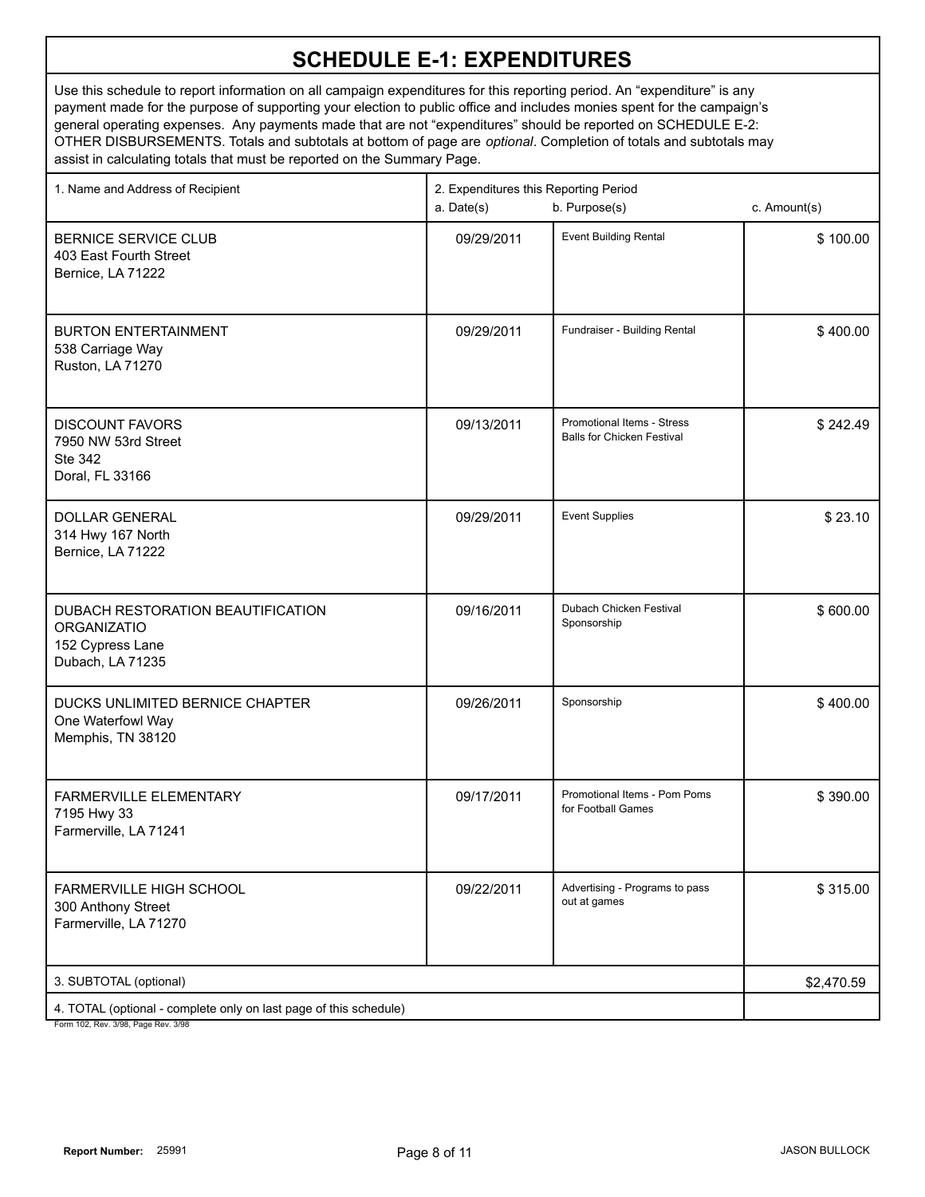| 1. Name and Address of Recipient                                                                         | 2. Expenditures this Reporting Period<br>b. Purpose(s)<br>a. Date(s) |                                                                 | c. Amount(s) |
|----------------------------------------------------------------------------------------------------------|----------------------------------------------------------------------|-----------------------------------------------------------------|--------------|
| <b>BERNICE SERVICE CLUB</b><br>403 East Fourth Street<br>Bernice, LA 71222                               | 09/29/2011                                                           | <b>Event Building Rental</b>                                    | \$100.00     |
| <b>BURTON ENTERTAINMENT</b><br>538 Carriage Way<br>Ruston, LA 71270                                      | 09/29/2011                                                           | Fundraiser - Building Rental                                    | \$400.00     |
| <b>DISCOUNT FAVORS</b><br>7950 NW 53rd Street<br><b>Ste 342</b><br>Doral, FL 33166                       | 09/13/2011                                                           | Promotional Items - Stress<br><b>Balls for Chicken Festival</b> | \$242.49     |
| <b>DOLLAR GENERAL</b><br>314 Hwy 167 North<br>Bernice, LA 71222                                          | 09/29/2011                                                           | <b>Event Supplies</b>                                           | \$23.10      |
| DUBACH RESTORATION BEAUTIFICATION<br><b>ORGANIZATIO</b><br>152 Cypress Lane<br>Dubach, LA 71235          | 09/16/2011                                                           | Dubach Chicken Festival<br>Sponsorship                          | \$600.00     |
| DUCKS UNLIMITED BERNICE CHAPTER<br>One Waterfowl Way<br>Memphis, TN 38120                                | 09/26/2011                                                           | Sponsorship                                                     | \$400.00     |
| <b>FARMERVILLE ELEMENTARY</b><br>7195 Hwy 33<br>Farmerville, LA 71241                                    | 09/17/2011                                                           | Promotional Items - Pom Poms<br>for Football Games              | \$390.00     |
| <b>FARMERVILLE HIGH SCHOOL</b><br>300 Anthony Street<br>Farmerville, LA 71270                            | 09/22/2011                                                           | Advertising - Programs to pass<br>out at games                  | \$315.00     |
| 3. SUBTOTAL (optional)                                                                                   |                                                                      |                                                                 | \$2,470.59   |
| 4. TOTAL (optional - complete only on last page of this schedule)<br>Form 102, Rev. 3/98, Page Rev. 3/98 |                                                                      |                                                                 |              |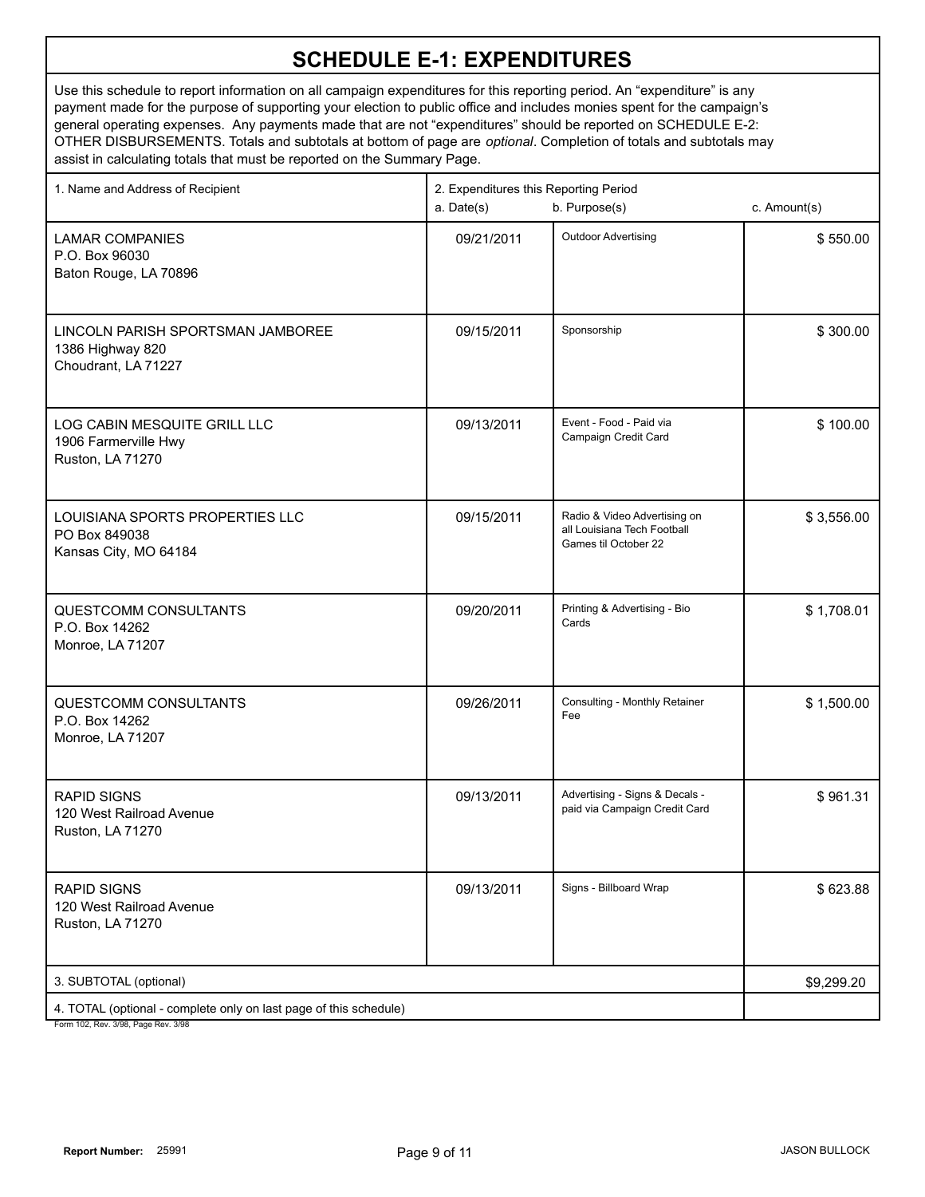| 1. Name and Address of Recipient                                                                     | 2. Expenditures this Reporting Period<br>a. Date(s)<br>b. Purpose(s) |                                                                                     | c. Amount(s) |
|------------------------------------------------------------------------------------------------------|----------------------------------------------------------------------|-------------------------------------------------------------------------------------|--------------|
| <b>LAMAR COMPANIES</b><br>P.O. Box 96030<br>Baton Rouge, LA 70896                                    | 09/21/2011                                                           | <b>Outdoor Advertising</b>                                                          | \$550.00     |
| LINCOLN PARISH SPORTSMAN JAMBOREE<br>1386 Highway 820<br>Choudrant, LA 71227                         | 09/15/2011                                                           | Sponsorship                                                                         | \$300.00     |
| LOG CABIN MESQUITE GRILL LLC<br>1906 Farmerville Hwy<br>Ruston, LA 71270                             | 09/13/2011                                                           | Event - Food - Paid via<br>Campaign Credit Card                                     | \$100.00     |
| LOUISIANA SPORTS PROPERTIES LLC<br>PO Box 849038<br>Kansas City, MO 64184                            | 09/15/2011                                                           | Radio & Video Advertising on<br>all Louisiana Tech Football<br>Games til October 22 | \$3,556.00   |
| <b>QUESTCOMM CONSULTANTS</b><br>P.O. Box 14262<br>Monroe, LA 71207                                   | 09/20/2011                                                           | Printing & Advertising - Bio<br>Cards                                               | \$1,708.01   |
| QUESTCOMM CONSULTANTS<br>P.O. Box 14262<br>Monroe, LA 71207                                          | 09/26/2011                                                           | Consulting - Monthly Retainer<br>Fee                                                | \$1,500.00   |
| <b>RAPID SIGNS</b><br>120 West Railroad Avenue<br>Ruston, LA 71270                                   | 09/13/2011                                                           | Advertising - Signs & Decals -<br>paid via Campaign Credit Card                     | \$961.31     |
| <b>RAPID SIGNS</b><br>120 West Railroad Avenue<br><b>Ruston, LA 71270</b>                            | 09/13/2011                                                           | Signs - Billboard Wrap                                                              | \$623.88     |
| 3. SUBTOTAL (optional)                                                                               |                                                                      |                                                                                     | \$9,299.20   |
| 4. TOTAL (optional - complete only on last page of this schedule)<br>Form 102 Rev 3/98 Page Rev 3/98 |                                                                      |                                                                                     |              |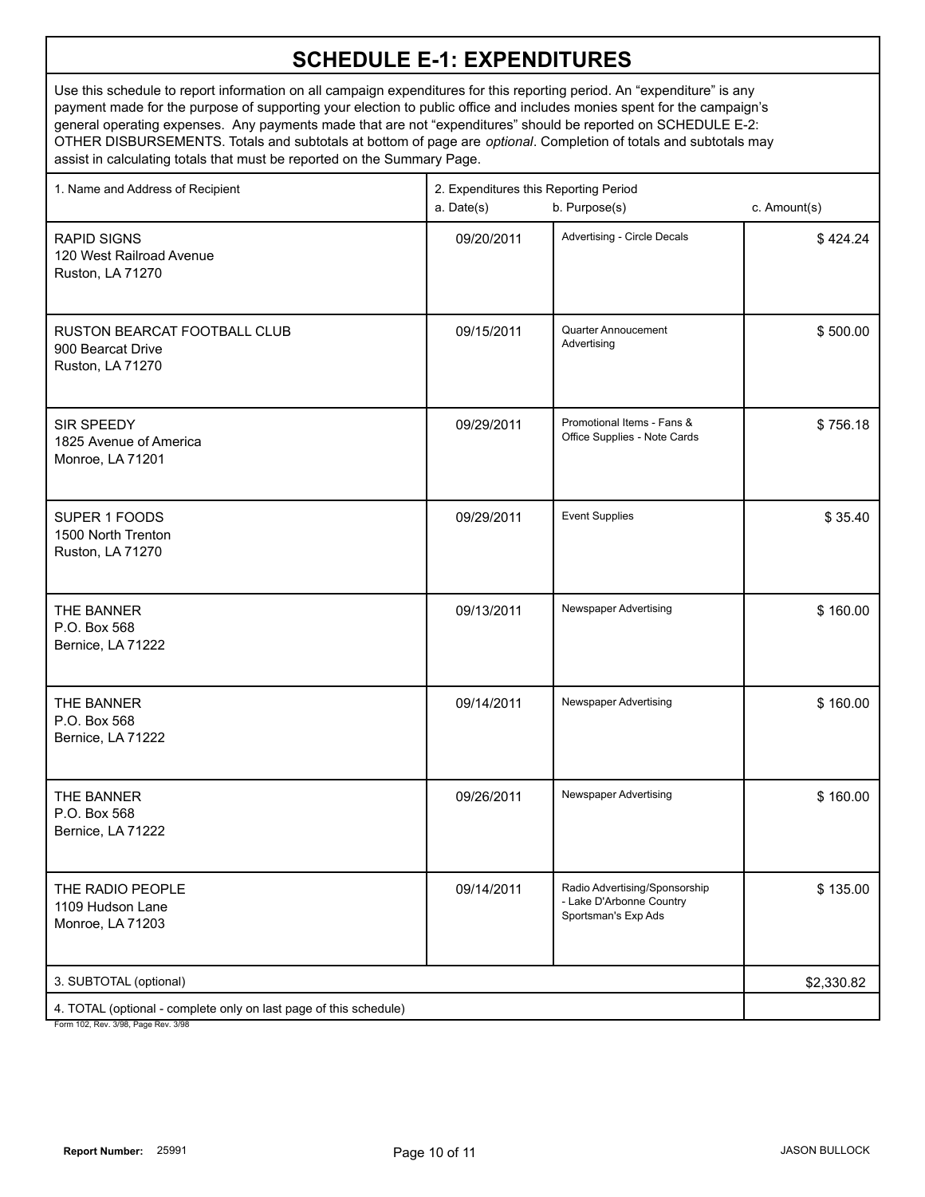| 1. Name and Address of Recipient                                                                     | 2. Expenditures this Reporting Period<br>b. Purpose(s)<br>a. Date(s) | c. Amount(s)                                                                     |          |
|------------------------------------------------------------------------------------------------------|----------------------------------------------------------------------|----------------------------------------------------------------------------------|----------|
| <b>RAPID SIGNS</b><br>120 West Railroad Avenue<br>Ruston, LA 71270                                   | 09/20/2011                                                           | Advertising - Circle Decals                                                      | \$424.24 |
| RUSTON BEARCAT FOOTBALL CLUB<br>900 Bearcat Drive<br>Ruston, LA 71270                                | 09/15/2011                                                           | Quarter Annoucement<br>Advertising                                               | \$500.00 |
| SIR SPEEDY<br>1825 Avenue of America<br>Monroe, LA 71201                                             | 09/29/2011                                                           | Promotional Items - Fans &<br>Office Supplies - Note Cards                       | \$756.18 |
| SUPER 1 FOODS<br>1500 North Trenton<br>Ruston, LA 71270                                              | 09/29/2011                                                           | <b>Event Supplies</b>                                                            | \$35.40  |
| THE BANNER<br>P.O. Box 568<br>Bernice, LA 71222                                                      | 09/13/2011                                                           | Newspaper Advertising                                                            | \$160.00 |
| THE BANNER<br>P.O. Box 568<br>Bernice, LA 71222                                                      | 09/14/2011                                                           | Newspaper Advertising                                                            | \$160.00 |
| THE BANNER<br>P.O. Box 568<br>Bernice, LA 71222                                                      | 09/26/2011                                                           | Newspaper Advertising                                                            | \$160.00 |
| THE RADIO PEOPLE<br>1109 Hudson Lane<br>Monroe, LA 71203                                             | 09/14/2011                                                           | Radio Advertising/Sponsorship<br>- Lake D'Arbonne Country<br>Sportsman's Exp Ads | \$135.00 |
| 3. SUBTOTAL (optional)                                                                               | \$2,330.82                                                           |                                                                                  |          |
| 4. TOTAL (optional - complete only on last page of this schedule)<br>Form 102 Rev 3/08 Rage Rev 3/08 |                                                                      |                                                                                  |          |